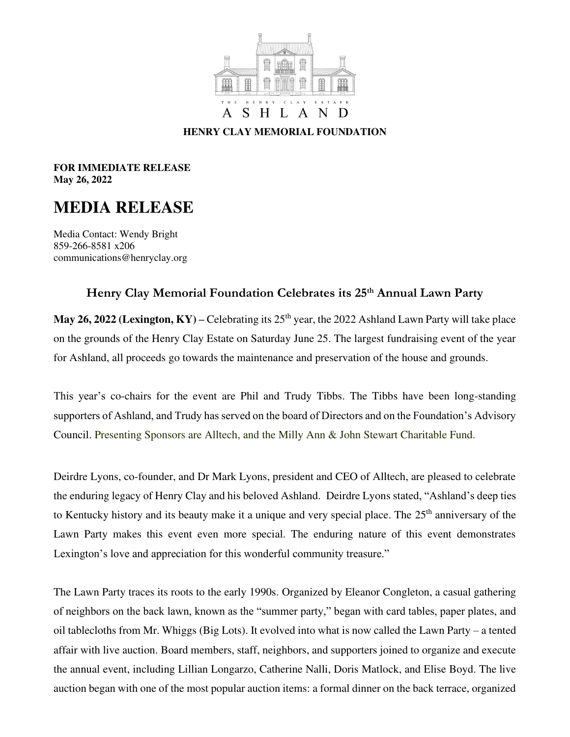

## **HENRY CLAY MEMORIAL FOUNDATION**

**FOR IMMEDIATE RELEASE May 26, 2022** 

## **MEDIA RELEASE**

Media Contact: Wendy Bright 859-266-8581 x206 communications@henryclay.org

## **Henry Clay Memorial Foundation Celebrates its 25th Annual Lawn Party**

**May 26, 2022 (Lexington, KY) – Celebrating its**  $25<sup>th</sup>$  **year, the 2022 Ashland Lawn Party will take place** on the grounds of the Henry Clay Estate on Saturday June 25. The largest fundraising event of the year for Ashland, all proceeds go towards the maintenance and preservation of the house and grounds.

This year's co-chairs for the event are Phil and Trudy Tibbs. The Tibbs have been long-standing supporters of Ashland, and Trudy has served on the board of Directors and on the Foundation's Advisory Council. Presenting Sponsors are Alltech, and the Milly Ann & John Stewart Charitable Fund.

Deirdre Lyons, co-founder, and Dr Mark Lyons, president and CEO of Alltech, are pleased to celebrate the enduring legacy of Henry Clay and his beloved Ashland. Deirdre Lyons stated, "Ashland's deep ties to Kentucky history and its beauty make it a unique and very special place. The 25<sup>th</sup> anniversary of the Lawn Party makes this event even more special. The enduring nature of this event demonstrates Lexington's love and appreciation for this wonderful community treasure."

The Lawn Party traces its roots to the early 1990s. Organized by Eleanor Congleton, a casual gathering of neighbors on the back lawn, known as the "summer party," began with card tables, paper plates, and oil tablecloths from Mr. Whiggs (Big Lots). It evolved into what is now called the Lawn Party – a tented affair with live auction. Board members, staff, neighbors, and supporters joined to organize and execute the annual event, including Lillian Longarzo, Catherine Nalli, Doris Matlock, and Elise Boyd. The live auction began with one of the most popular auction items: a formal dinner on the back terrace, organized